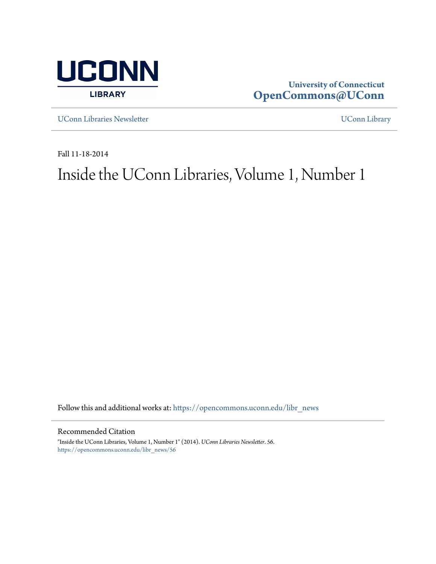

**University of Connecticut [OpenCommons@UConn](https://opencommons.uconn.edu?utm_source=opencommons.uconn.edu%2Flibr_news%2F56&utm_medium=PDF&utm_campaign=PDFCoverPages)**

[UConn Libraries Newsletter](https://opencommons.uconn.edu/libr_news?utm_source=opencommons.uconn.edu%2Flibr_news%2F56&utm_medium=PDF&utm_campaign=PDFCoverPages) **With a Connection Connection** UConnection Connection Connection Connection Connection Connection Connection Connection Connection Connection Connection Connection Connection Connection Connectio

Fall 11-18-2014

# Inside the UConn Libraries, Volume 1, Number 1

Follow this and additional works at: [https://opencommons.uconn.edu/libr\\_news](https://opencommons.uconn.edu/libr_news?utm_source=opencommons.uconn.edu%2Flibr_news%2F56&utm_medium=PDF&utm_campaign=PDFCoverPages)

Recommended Citation

"Inside the UConn Libraries, Volume 1, Number 1" (2014). *UConn Libraries Newsletter*. 56. [https://opencommons.uconn.edu/libr\\_news/56](https://opencommons.uconn.edu/libr_news/56?utm_source=opencommons.uconn.edu%2Flibr_news%2F56&utm_medium=PDF&utm_campaign=PDFCoverPages)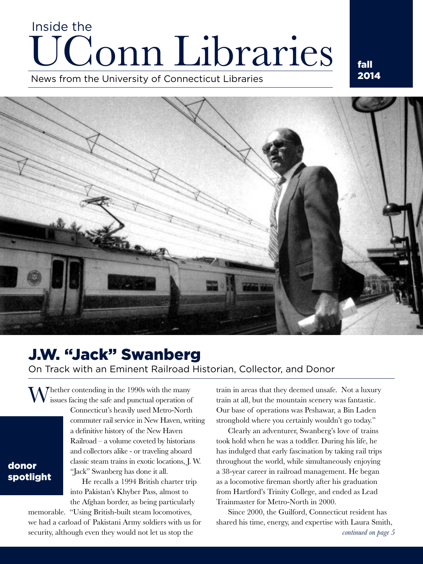# Conn Libraries Inside the

News from the University of Connecticut Libraries



# J.W. "Jack" Swanberg

On Track with an Eminent Railroad Historian, Collector, and Donor

The the r contending in the 1990s with the many issues facing the safe and punctual operation of

donor spotlight Connecticut's heavily used Metro-North commuter rail service in New Haven, writing a definitive history of the New Haven Railroad – a volume coveted by historians and collectors alike - or traveling aboard classic steam trains in exotic locations, J. W. "Jack" Swanberg has done it all.

He recalls a 1994 British charter trip into Pakistan's Khyber Pass, almost to the Afghan border, as being particularly

memorable. "Using British-built steam locomotives, we had a carload of Pakistani Army soldiers with us for security, although even they would not let us stop the

train in areas that they deemed unsafe. Not a luxury train at all, but the mountain scenery was fantastic. Our base of operations was Peshawar, a Bin Laden stronghold where you certainly wouldn't go today."

Clearly an adventurer, Swanberg's love of trains took hold when he was a toddler. During his life, he has indulged that early fascination by taking rail trips throughout the world, while simultaneously enjoying a 38-year career in railroad management. He began as a locomotive fireman shortly after his graduation from Hartford's Trinity College, and ended as Lead Trainmaster for Metro-North in 2000.

Since 2000, the Guilford, Connecticut resident has shared his time, energy, and expertise with Laura Smith,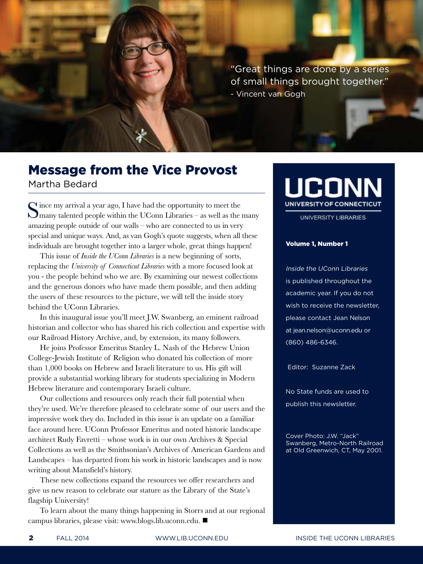"Great things are done by a series of small things brought together." - Vincent van Gogh

### Message from the Vice Provost Martha Bedard

Since my arrival a year ago, I have had the opportunity to meet the Smany talented people within the UConn Libraries – as well as the many amazing people outside of our walls – who are connected to us in very special and unique ways. And, as van Gogh's quote suggests, when all these individuals are brought together into a larger whole, great things happen!

This issue of *Inside the UConn Libraries* is a new beginning of sorts, replacing the *University of Connecticut Libraries* with a more focused look at you - the people behind who we are. By examining our newest collections and the generous donors who have made them possible, and then adding the users of these resources to the picture, we will tell the inside story behind the UConn Libraries.

In this inaugural issue you'll meet J.W. Swanberg, an eminent railroad historian and collector who has shared his rich collection and expertise with our Railroad History Archive, and, by extension, its many followers.

He joins Professor Emeritus Stanley L. Nash of the Hebrew Union College-Jewish Institute of Religion who donated his collection of more than 1,000 books on Hebrew and Israeli literature to us. His gift will provide a substantial working library for students specializing in Modern Hebrew literature and contemporary Israeli culture.

Our collections and resources only reach their full potential when they're used. We're therefore pleased to celebrate some of our users and the impressive work they do. Included in this issue is an update on a familiar face around here. UConn Professor Emeritus and noted historic landscape architect Rudy Favretti – whose work is in our own Archives & Special Collections as well as the Smithsonian's Archives of American Gardens and Landscapes – has departed from his work in historic landscapes and is now writing about Mansfield's history.

These new collections expand the resources we offer researchers and give us new reason to celebrate our stature as the Library of the State's flagship University!

To learn about the many things happening in Storrs and at our regional campus libraries, please visit: www.blogs.lib.uconn.edu.

# UCONN UNIVERSITY OF CONNECTICUT

UNIVERSITY LIBRARIES

#### Volume 1, Number 1

Inside the UConn Libraries is published throughout the academic year. If you do not wish to receive the newsletter, please contact Jean Nelson at jean.nelson@uconn.edu or (860) 486-6346.

Editor: Suzanne Zack

No State funds are used to publish this newsletter.

Cover Photo: J.W. "Jack" Swanberg, Metro-North Railroad at Old Greenwich, CT, May 2001.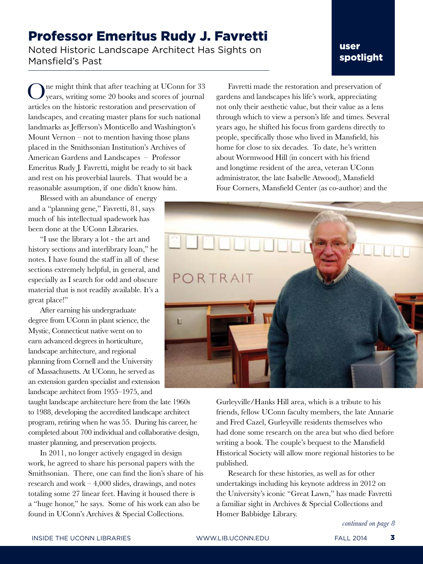### Professor Emeritus Rudy J. Favretti

Noted Historic Landscape Architect Has Sights on Mansfield's Past

### user spotlight

One might think that after teaching at UConn for 33 years, writing some 20 books and scores of journal articles on the historic restoration and preservation of landscapes, and creating master plans for such national landmarks as Jefferson's Monticello and Washington's Mount Vernon – not to mention having those plans placed in the Smithsonian Institution's Archives of American Gardens and Landscapes – Professor Emeritus Rudy J. Favretti, might be ready to sit back and rest on his proverbial laurels. That would be a reasonable assumption, if one didn't know him.

Blessed with an abundance of energy and a "planning gene," Favretti, 81, says much of his intellectual spadework has been done at the UConn Libraries.

"I use the library a lot - the art and history sections and interlibrary loan," he notes. I have found the staff in all of these sections extremely helpful, in general, and especially as I search for odd and obscure material that is not readily available. It's a great place!"

After earning his undergraduate degree from UConn in plant science, the Mystic, Connecticut native went on to earn advanced degrees in horticulture, landscape architecture, and regional planning from Cornell and the University of Massachusetts. At UConn, he served as an extension garden specialist and extension landscape architect from 1955–1975, and

taught landscape architecture here from the late 1960s to 1988, developing the accredited landscape architect program, retiring when he was 55. During his career, he completed about 700 individual and collaborative design, master planning, and preservation projects.

In 2011, no longer actively engaged in design work, he agreed to share his personal papers with the Smithsonian. There, one can find the lion's share of his research and work – 4,000 slides, drawings, and notes totaling some 27 linear feet. Having it housed there is a "huge honor," he says. Some of his work can also be found in UConn's Archives & Special Collections.

Favretti made the restoration and preservation of gardens and landscapes his life's work, appreciating not only their aesthetic value, but their value as a lens through which to view a person's life and times. Several years ago, he shifted his focus from gardens directly to people, specifically those who lived in Mansfield, his home for close to six decades. To date, he's written about Wormwood Hill (in concert with his friend and longtime resident of the area, veteran UConn administrator, the late Isabelle Atwood), Mansfield Four Corners, Mansfield Center (as co-author) and the



Gurleyville/Hanks Hill area, which is a tribute to his friends, fellow UConn faculty members, the late Annarie and Fred Cazel, Gurleyville residents themselves who had done some research on the area but who died before writing a book. The couple's bequest to the Mansfield Historical Society will allow more regional histories to be published.

Research for these histories, as well as for other undertakings including his keynote address in 2012 on the University's iconic "Great Lawn," has made Favretti a familiar sight in Archives & Special Collections and Homer Babbidge Library.

*continued on page 8*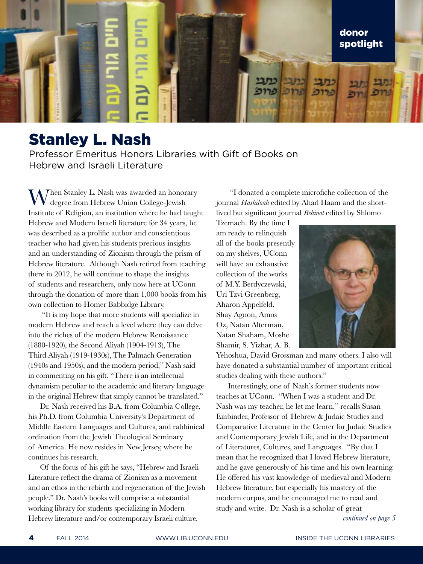

## Stanley L. Nash

Professor Emeritus Honors Libraries with Gift of Books on Hebrew and Israeli Literature

Then Stanley L. Nash was awarded an honorary degree from Hebrew Union College-Jewish Institute of Religion, an institution where he had taught Hebrew and Modern Israeli literature for 34 years, he was described as a prolific author and conscientious teacher who had given his students precious insights and an understanding of Zionism through the prism of Hebrew literature. Although Nash retired from teaching there in 2012, he will continue to shape the insights of students and researchers, only now here at UConn through the donation of more than 1,000 books from his own collection to Homer Babbidge Library.

 "It is my hope that more students will specialize in modern Hebrew and reach a level where they can delve into the riches of the modern Hebrew Renaissance (1880-1920), the Second Aliyah (1904-1913), The Third Aliyah (1919-1930s), The Palmach Generation (1940s and 1950s), and the modern period," Nash said in commenting on his gift. "There is an intellectual dynamism peculiar to the academic and literary language in the original Hebrew that simply cannot be translated."

Dr. Nash received his B.A. from Columbia College, his Ph.D. from Columbia University's Department of Middle Eastern Languages and Cultures, and rabbinical ordination from the Jewish Theological Seminary of America. He now resides in New Jersey, where he continues his research.

Of the focus of his gift he says, "Hebrew and Israeli Literature reflect the drama of Zionism as a movement and an ethos in the rebirth and regeneration of the Jewish people." Dr. Nash's books will comprise a substantial working library for students specializing in Modern Hebrew literature and/or contemporary Israeli culture.

 "I donated a complete microfiche collection of the journal *Hashiloah* edited by Ahad Haam and the shortlived but significant journal *Behinot* edited by Shlomo

Tzemach. By the time I am ready to relinquish all of the books presently on my shelves, UConn will have an exhaustive collection of the works of M.Y. Berdyczewski, Uri Tzvi Greenberg, Aharon Appelfeld, Shay Agnon, Amos Oz, Natan Alterman, Natan Shaham, Moshe Shamir, S. Yizhar, A. B.



Yehoshua, David Grossman and many others. I also will have donated a substantial number of important critical studies dealing with these authors."

Interestingly, one of Nash's former students now teaches at UConn. "When I was a student and Dr. Nash was my teacher, he let me learn," recalls Susan Einbinder, Professor of Hebrew & Judaic Studies and Comparative Literature in the Center for Judaic Studies and Contemporary Jewish Life, and in the Department of Literatures, Cultures, and Languages. "By that I mean that he recognized that I loved Hebrew literature, and he gave generously of his time and his own learning. He offered his vast knowledge of medieval and Modern Hebrew literature, but especially his mastery of the modern corpus, and he encouraged me to read and study and write. Dr. Nash is a scholar of great

*continued on page 5*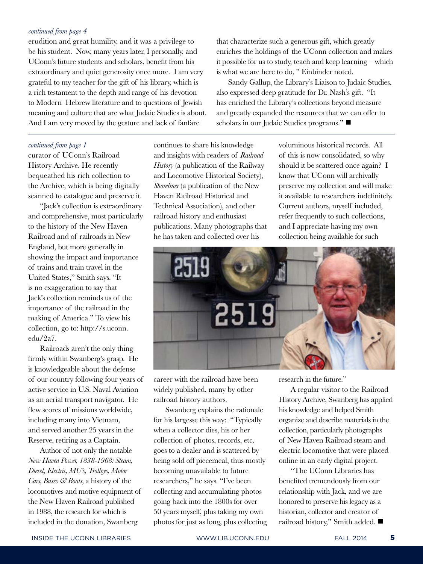#### *continued from page 4*

erudition and great humility, and it was a privilege to be his student. Now, many years later, I personally, and UConn's future students and scholars, benefit from his extraordinary and quiet generosity once more. I am very grateful to my teacher for the gift of his library, which is a rich testament to the depth and range of his devotion to Modern Hebrew literature and to questions of Jewish meaning and culture that are what Judaic Studies is about. And I am very moved by the gesture and lack of fanfare

that characterize such a generous gift, which greatly enriches the holdings of the UConn collection and makes it possible for us to study, teach and keep learning – which is what we are here to do, " Einbinder noted.

Sandy Gallup, the Library's Liaison to Judaic Studies, also expressed deep gratitude for Dr. Nash's gift. "It has enriched the Library's collections beyond measure and greatly expanded the resources that we can offer to scholars in our Judaic Studies programs."

#### *continued from page 1*

curator of UConn's Railroad History Archive. He recently bequeathed his rich collection to the Archive, which is being digitally scanned to catalogue and preserve it.

"Jack's collection is extraordinary and comprehensive, most particularly to the history of the New Haven Railroad and of railroads in New England, but more generally in showing the impact and importance of trains and train travel in the United States," Smith says. "It is no exaggeration to say that Jack's collection reminds us of the importance of the railroad in the making of America." To view his collection, go to: http://s.uconn. edu/2a7.

Railroads aren't the only thing firmly within Swanberg's grasp. He is knowledgeable about the defense of our country following four years of active service in U.S. Naval Aviation as an aerial transport navigator. He flew scores of missions worldwide, including many into Vietnam, and served another 25 years in the Reserve, retiring as a Captain.

Author of not only the notable *New Haven Power, 1838-1968: Steam, Diesel, Electric, MU's, Trolleys, Motor Cars, Buses & Boats,* a history of the locomotives and motive equipment of the New Haven Railroad published in 1988, the research for which is included in the donation, Swanberg

continues to share his knowledge and insights with readers of *Railroad History* (a publication of the Railway and Locomotive Historical Society), *Shoreliner* (a publication of the New Haven Railroad Historical and Technical Association), and other railroad history and enthusiast publications. Many photographs that he has taken and collected over his

voluminous historical records. All of this is now consolidated, so why should it be scattered once again? I know that UConn will archivally preserve my collection and will make it available to researchers indefinitely. Current authors, myself included, refer frequently to such collections, and I appreciate having my own collection being available for such



career with the railroad have been widely published, many by other railroad history authors.

Swanberg explains the rationale for his largesse this way: "Typically when a collector dies, his or her collection of photos, records, etc. goes to a dealer and is scattered by being sold off piecemeal, thus mostly becoming unavailable to future researchers," he says. "I've been collecting and accumulating photos going back into the 1800s for over 50 years myself, plus taking my own photos for just as long, plus collecting research in the future."

A regular visitor to the Railroad History Archive, Swanberg has applied his knowledge and helped Smith organize and describe materials in the collection, particularly photographs of New Haven Railroad steam and electric locomotive that were placed online in an early digital project.

"The UConn Libraries has benefited tremendously from our relationship with Jack, and we are honored to preserve his legacy as a historian, collector and creator of railroad history," Smith added.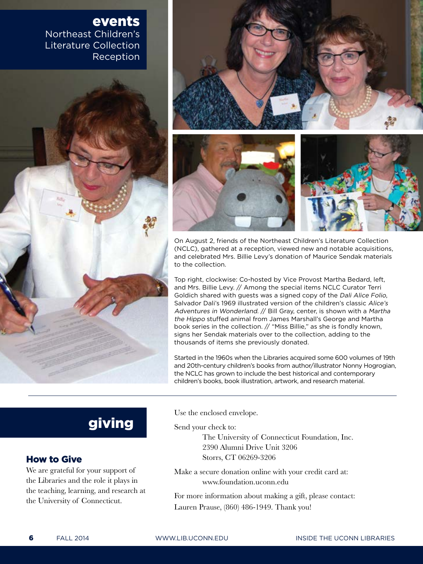### events Northeast Children's Literature Collection **Reception**



On August 2, friends of the Northeast Children's Literature Collection (NCLC), gathered at a reception, viewed new and notable acquisitions, and celebrated Mrs. Billie Levy's donation of Maurice Sendak materials to the collection.

Top right, clockwise: Co-hosted by Vice Provost Martha Bedard, left, and Mrs. Billie Levy. // Among the special items NCLC Curator Terri Goldich shared with guests was a signed copy of the Dali Alice Folio, Salvador Dali's 1969 illustrated version of the children's classic Alice's Adventures in Wonderland. // Bill Gray, center, is shown with a Martha the Hippo stuffed animal from James Marshall's George and Martha book series in the collection. // "Miss Billie," as she is fondly known, signs her Sendak materials over to the collection, adding to the thousands of items she previously donated.

Started in the 1960s when the Libraries acquired some 600 volumes of 19th and 20th-century children's books from author/illustrator Nonny Hogrogian, the NCLC has grown to include the best historical and contemporary children's books, book illustration, artwork, and research material.

## giving

### How to Give

We are grateful for your support of the Libraries and the role it plays in the teaching, learning, and research at the University of Connecticut.

Use the enclosed envelope.

Send your check to:

 The University of Connecticut Foundation, Inc. 2390 Alumni Drive Unit 3206 Storrs, CT 06269-3206

Make a secure donation online with your credit card at: www.foundation.uconn.edu

For more information about making a gift, please contact: Lauren Prause, (860) 486-1949. Thank you!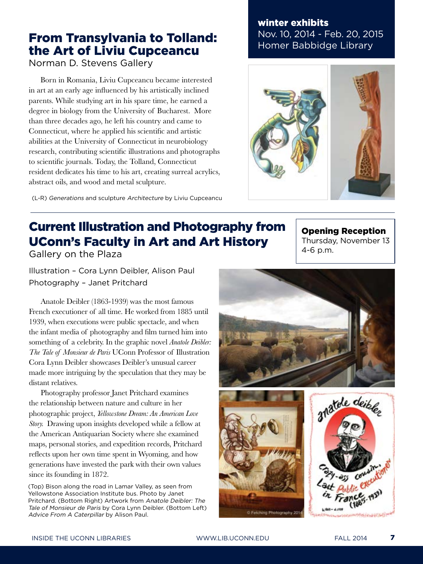### From Transylvania to Tolland: the Art of Liviu Cupceancu

Norman D. Stevens Gallery

Born in Romania, Liviu Cupceancu became interested in art at an early age influenced by his artistically inclined parents. While studying art in his spare time, he earned a degree in biology from the University of Bucharest. More than three decades ago, he left his country and came to Connecticut, where he applied his scientific and artistic abilities at the University of Connecticut in neurobiology research, contributing scientific illustrations and photographs to scientific journals. Today, the Tolland, Connecticut resident dedicates his time to his art, creating surreal acrylics, abstract oils, and wood and metal sculpture.

(L-R) Generations and sculpture Architecture by Liviu Cupceancu

### winter exhibits Nov. 10, 2014 - Feb. 20, 2015 Homer Babbidge Library



# Current Illustration and Photography from UConn's Faculty in Art and Art History

Gallery on the Plaza

Illustration – Cora Lynn Deibler, Alison Paul Photography – Janet Pritchard

Anatole Deibler (1863-1939) was the most famous French executioner of all time. He worked from 1885 until 1939, when executions were public spectacle, and when the infant media of photography and film turned him into something of a celebrity. In the graphic novel *Anatole Deibler: The Tale of Monsieur de Paris* UConn Professor of Illustration Cora Lynn Deibler showcases Deibler's unusual career made more intriguing by the speculation that they may be distant relatives.

Photography professor Janet Pritchard examines the relationship between nature and culture in her photographic project, *Yellowstone Dream: An American Love Story.* Drawing upon insights developed while a fellow at the American Antiquarian Society where she examined maps, personal stories, and expedition records, Pritchard reflects upon her own time spent in Wyoming, and how generations have invested the park with their own values since its founding in 1872.

(Top) Bison along the road in Lamar Valley, as seen from Yellowstone Association Institute bus. Photo by Janet Pritchard. (Bottom Right) Artwork from Anatole Deibler: The Tale of Monsieur de Paris by Cora Lynn Deibler. (Bottom Left) Advice From A Caterpillar by Alison Paul.

Opening Reception

Thursday, November 13 4-6 p.m.



C Fetching Photography 201